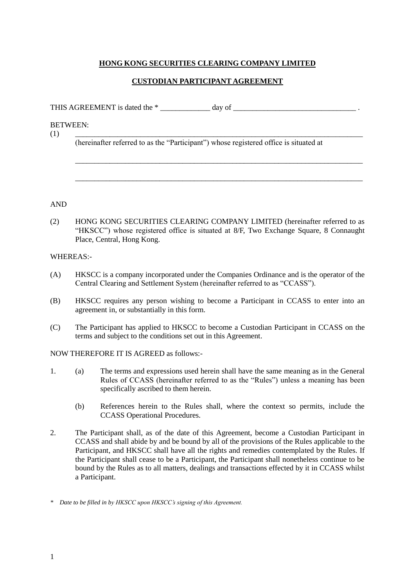## **HONG KONG SECURITIES CLEARING COMPANY LIMITED**

## **CUSTODIAN PARTICIPANT AGREEMENT**

THIS AGREEMENT is dated the \* \_\_\_\_\_\_\_\_\_\_\_\_\_ day of \_\_\_\_\_\_\_\_\_\_\_\_\_\_\_\_\_\_\_\_\_\_\_\_\_\_\_\_\_\_\_\_ .

BETWEEN:

(1) \_\_\_\_\_\_\_\_\_\_\_\_\_\_\_\_\_\_\_\_\_\_\_\_\_\_\_\_\_\_\_\_\_\_\_\_\_\_\_\_\_\_\_\_\_\_\_\_\_\_\_\_\_\_\_\_\_\_\_\_\_\_\_\_\_\_\_\_\_\_\_\_\_\_\_

(hereinafter referred to as the "Participant") whose registered office is situated at

\_\_\_\_\_\_\_\_\_\_\_\_\_\_\_\_\_\_\_\_\_\_\_\_\_\_\_\_\_\_\_\_\_\_\_\_\_\_\_\_\_\_\_\_\_\_\_\_\_\_\_\_\_\_\_\_\_\_\_\_\_\_\_\_\_\_\_\_\_\_\_\_\_\_\_

\_\_\_\_\_\_\_\_\_\_\_\_\_\_\_\_\_\_\_\_\_\_\_\_\_\_\_\_\_\_\_\_\_\_\_\_\_\_\_\_\_\_\_\_\_\_\_\_\_\_\_\_\_\_\_\_\_\_\_\_\_\_\_\_\_\_\_\_\_\_\_\_\_\_\_

AND

(2) HONG KONG SECURITIES CLEARING COMPANY LIMITED (hereinafter referred to as "HKSCC") whose registered office is situated at 8/F, Two Exchange Square, 8 Connaught Place, Central, Hong Kong.

## WHEREAS:-

- (A) HKSCC is a company incorporated under the Companies Ordinance and is the operator of the Central Clearing and Settlement System (hereinafter referred to as "CCASS").
- (B) HKSCC requires any person wishing to become a Participant in CCASS to enter into an agreement in, or substantially in this form.
- (C) The Participant has applied to HKSCC to become a Custodian Participant in CCASS on the terms and subject to the conditions set out in this Agreement.

## NOW THEREFORE IT IS AGREED as follows:-

- 1. (a) The terms and expressions used herein shall have the same meaning as in the General Rules of CCASS (hereinafter referred to as the "Rules") unless a meaning has been specifically ascribed to them herein.
	- (b) References herein to the Rules shall, where the context so permits, include the CCASS Operational Procedures.
- 2. The Participant shall, as of the date of this Agreement, become a Custodian Participant in CCASS and shall abide by and be bound by all of the provisions of the Rules applicable to the Participant, and HKSCC shall have all the rights and remedies contemplated by the Rules. If the Participant shall cease to be a Participant, the Participant shall nonetheless continue to be bound by the Rules as to all matters, dealings and transactions effected by it in CCASS whilst a Participant.

*<sup>\*</sup> Date to be filled in by HKSCC upon HKSCC's signing of this Agreement.*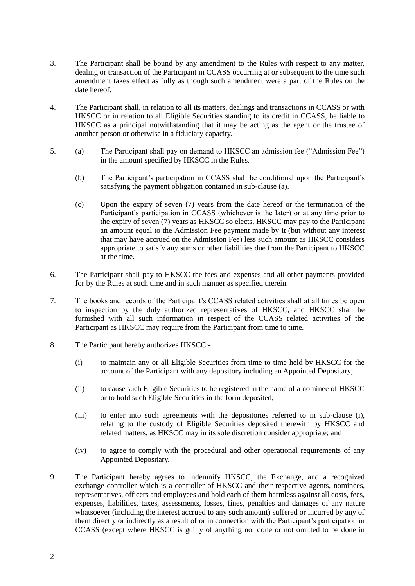- 3. The Participant shall be bound by any amendment to the Rules with respect to any matter, dealing or transaction of the Participant in CCASS occurring at or subsequent to the time such amendment takes effect as fully as though such amendment were a part of the Rules on the date hereof.
- 4. The Participant shall, in relation to all its matters, dealings and transactions in CCASS or with HKSCC or in relation to all Eligible Securities standing to its credit in CCASS, be liable to HKSCC as a principal notwithstanding that it may be acting as the agent or the trustee of another person or otherwise in a fiduciary capacity.
- 5. (a) The Participant shall pay on demand to HKSCC an admission fee ("Admission Fee") in the amount specified by HKSCC in the Rules.
	- (b) The Participant's participation in CCASS shall be conditional upon the Participant's satisfying the payment obligation contained in sub-clause (a).
	- (c) Upon the expiry of seven (7) years from the date hereof or the termination of the Participant's participation in CCASS (whichever is the later) or at any time prior to the expiry of seven (7) years as HKSCC so elects, HKSCC may pay to the Participant an amount equal to the Admission Fee payment made by it (but without any interest that may have accrued on the Admission Fee) less such amount as HKSCC considers appropriate to satisfy any sums or other liabilities due from the Participant to HKSCC at the time.
- 6. The Participant shall pay to HKSCC the fees and expenses and all other payments provided for by the Rules at such time and in such manner as specified therein.
- 7. The books and records of the Participant's CCASS related activities shall at all times be open to inspection by the duly authorized representatives of HKSCC, and HKSCC shall be furnished with all such information in respect of the CCASS related activities of the Participant as HKSCC may require from the Participant from time to time.
- 8. The Participant hereby authorizes HKSCC:-
	- (i) to maintain any or all Eligible Securities from time to time held by HKSCC for the account of the Participant with any depository including an Appointed Depositary;
	- (ii) to cause such Eligible Securities to be registered in the name of a nominee of HKSCC or to hold such Eligible Securities in the form deposited;
	- (iii) to enter into such agreements with the depositories referred to in sub-clause (i), relating to the custody of Eligible Securities deposited therewith by HKSCC and related matters, as HKSCC may in its sole discretion consider appropriate; and
	- (iv) to agree to comply with the procedural and other operational requirements of any Appointed Depositary.
- 9. The Participant hereby agrees to indemnify HKSCC, the Exchange, and a recognized exchange controller which is a controller of HKSCC and their respective agents, nominees, representatives, officers and employees and hold each of them harmless against all costs, fees, expenses, liabilities, taxes, assessments, losses, fines, penalties and damages of any nature whatsoever (including the interest accrued to any such amount) suffered or incurred by any of them directly or indirectly as a result of or in connection with the Participant's participation in CCASS (except where HKSCC is guilty of anything not done or not omitted to be done in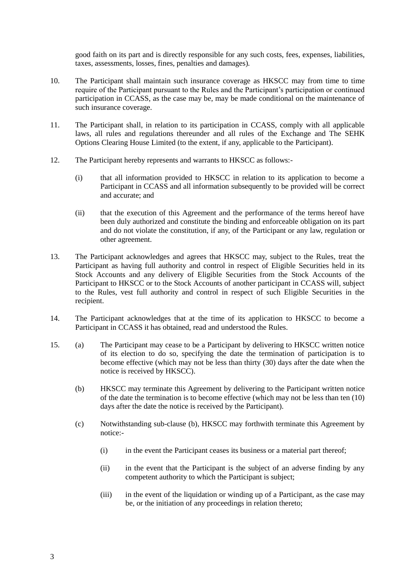good faith on its part and is directly responsible for any such costs, fees, expenses, liabilities, taxes, assessments, losses, fines, penalties and damages)*.*

- 10. The Participant shall maintain such insurance coverage as HKSCC may from time to time require of the Participant pursuant to the Rules and the Participant's participation or continued participation in CCASS, as the case may be, may be made conditional on the maintenance of such insurance coverage.
- 11. The Participant shall, in relation to its participation in CCASS, comply with all applicable laws, all rules and regulations thereunder and all rules of the Exchange and The SEHK Options Clearing House Limited (to the extent, if any, applicable to the Participant).
- 12. The Participant hereby represents and warrants to HKSCC as follows:-
	- (i) that all information provided to HKSCC in relation to its application to become a Participant in CCASS and all information subsequently to be provided will be correct and accurate; and
	- (ii) that the execution of this Agreement and the performance of the terms hereof have been duly authorized and constitute the binding and enforceable obligation on its part and do not violate the constitution, if any, of the Participant or any law, regulation or other agreement.
- 13. The Participant acknowledges and agrees that HKSCC may, subject to the Rules, treat the Participant as having full authority and control in respect of Eligible Securities held in its Stock Accounts and any delivery of Eligible Securities from the Stock Accounts of the Participant to HKSCC or to the Stock Accounts of another participant in CCASS will, subject to the Rules, vest full authority and control in respect of such Eligible Securities in the recipient.
- 14. The Participant acknowledges that at the time of its application to HKSCC to become a Participant in CCASS it has obtained, read and understood the Rules.
- 15. (a) The Participant may cease to be a Participant by delivering to HKSCC written notice of its election to do so, specifying the date the termination of participation is to become effective (which may not be less than thirty (30) days after the date when the notice is received by HKSCC).
	- (b) HKSCC may terminate this Agreement by delivering to the Participant written notice of the date the termination is to become effective (which may not be less than ten (10) days after the date the notice is received by the Participant).
	- (c) Notwithstanding sub-clause (b), HKSCC may forthwith terminate this Agreement by notice:-
		- (i) in the event the Participant ceases its business or a material part thereof;
		- (ii) in the event that the Participant is the subject of an adverse finding by any competent authority to which the Participant is subject;
		- (iii) in the event of the liquidation or winding up of a Participant, as the case may be, or the initiation of any proceedings in relation thereto;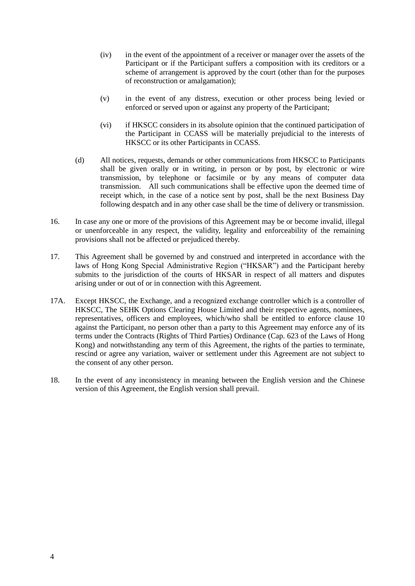- (iv) in the event of the appointment of a receiver or manager over the assets of the Participant or if the Participant suffers a composition with its creditors or a scheme of arrangement is approved by the court (other than for the purposes of reconstruction or amalgamation);
- (v) in the event of any distress, execution or other process being levied or enforced or served upon or against any property of the Participant;
- (vi) if HKSCC considers in its absolute opinion that the continued participation of the Participant in CCASS will be materially prejudicial to the interests of HKSCC or its other Participants in CCASS.
- (d) All notices, requests, demands or other communications from HKSCC to Participants shall be given orally or in writing, in person or by post, by electronic or wire transmission, by telephone or facsimile or by any means of computer data transmission. All such communications shall be effective upon the deemed time of receipt which, in the case of a notice sent by post, shall be the next Business Day following despatch and in any other case shall be the time of delivery or transmission.
- 16. In case any one or more of the provisions of this Agreement may be or become invalid, illegal or unenforceable in any respect, the validity, legality and enforceability of the remaining provisions shall not be affected or prejudiced thereby.
- 17. This Agreement shall be governed by and construed and interpreted in accordance with the laws of Hong Kong Special Administrative Region ("HKSAR") and the Participant hereby submits to the jurisdiction of the courts of HKSAR in respect of all matters and disputes arising under or out of or in connection with this Agreement.
- 17A. Except HKSCC, the Exchange, and a recognized exchange controller which is a controller of HKSCC, The SEHK Options Clearing House Limited and their respective agents, nominees, representatives, officers and employees, which/who shall be entitled to enforce clause 10 against the Participant, no person other than a party to this Agreement may enforce any of its terms under the Contracts (Rights of Third Parties) Ordinance (Cap. 623 of the Laws of Hong Kong) and notwithstanding any term of this Agreement, the rights of the parties to terminate, rescind or agree any variation, waiver or settlement under this Agreement are not subject to the consent of any other person.
- 18. In the event of any inconsistency in meaning between the English version and the Chinese version of this Agreement, the English version shall prevail.